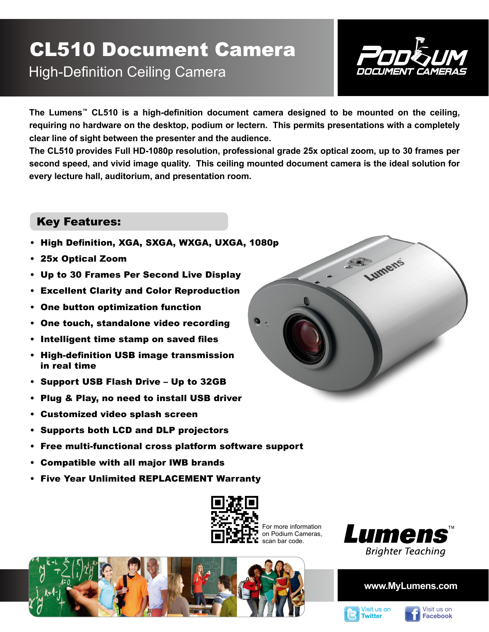## CL510 Document Camera High-Definition Ceiling Camera



**The Lumens™ CL510 is a high-definition document camera designed to be mounted on the ceiling, requiring no hardware on the desktop, podium or lectern. This permits presentations with a completely clear line of sight between the presenter and the audience.** 

**The CL510 provides Full HD-1080p resolution, professional grade 25x optical zoom, up to 30 frames per second speed, and vivid image quality. This ceiling mounted document camera is the ideal solution for every lecture hall, auditorium, and presentation room.**

## Key Features:

- High Definition, XGA, SXGA, WXGA, UXGA,
- 25x Optical Zoom
- Up to 30 Frames Per Second Live Display
- Excellent Clarity and Color Reproduction
- One button optimization function
- One touch, standalone video recording
- Intelligent time stamp on saved files
- High-definition USB image transmission in real time
- Support USB Flash Drive Up to 32GB
- Plug & Play, no need to install USB driver
- Customized video splash screen
- Supports both LCD and DLP projectors
- Free multi-functional cross platform software support
- Compatible with all major IWB brands
- Five Year Unlimited REPLACEMENT Warranty



For more information on Podium Cameras, scan bar code.





### **www.MyLumens.com**





| 1080p   |        |  |
|---------|--------|--|
|         | Lumens |  |
|         |        |  |
|         |        |  |
| $\cdot$ |        |  |
|         |        |  |
|         |        |  |
|         |        |  |
|         |        |  |